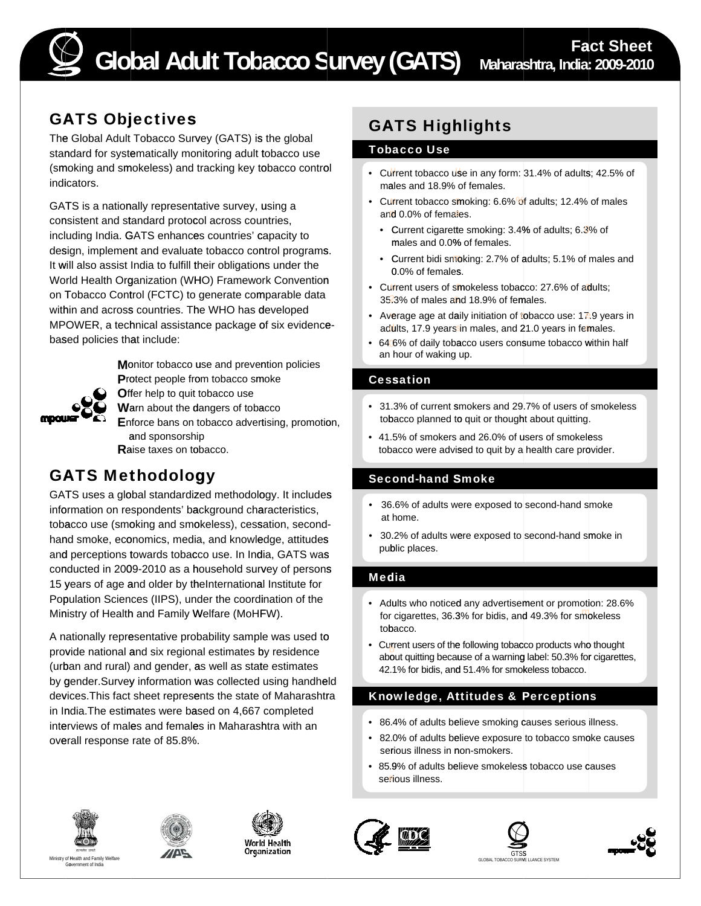

## GATS Objectives

The Global Adult Tobacco Survey (GATS) is the global standard for systematically monitoring adult tobacco use (smoking and smokeless) and tracking key tobacco control indicators.

GATS is a nationally representative survey, using a consistent and standard protocol across countries, including India. GATS enhances countries' capacity to design, implement and evaluate tobacco control programs. It will also assist India to fulfill their obligations under the World Health Organization (WHO) Framework Convention on Tobacco Control (FCTC) to generate comparable data within and across countries. The WHO has developed MPOWER, a technical assistance package of six evidencebased policies that include:



**M**onitor tobacco use and prevention policies Protect people from tobacco smoke **Offer help to quit tobacco use** 

**W**arn about the dangers of tobacco

**E**nforce bans on tobacco advertising, promotion, and sponsorship **R**aise taxes on tobacco.

## GATS Methodology

GATS uses a global standardized methodology. It includes information on respondents' background characteristics, tobacco use (smoking and smokeless), cessation, secondhand smoke, economics, media, and knowledge, attitudes and perceptions towards tobacco use. In India, GATS was conducted in 2009-2010 as a household survey of persons 15 years of age and older by theInternational Institute for Population Sciences (IIPS), under the coordination of the Ministry of Health and Family Welfare (MoHFW).

A nationally representative probability sample was used to provide national and six regional estimates by residence (urban and rural) and gender, as well as state estimates by gender.Survey information was collected using handheld devices.This fact sheet represents the state of Maharashtra in India.The estimates were based on 4,667 completed interviews of males and females in Maharashtra with an overall response rate of 85.8%.

# GATS Highlights

#### Tobacco Use

- Current tobacco use in any form: 31.4% of adults; 42.5% of males and 18.9% of females.
- Current tobacco smoking: 6.6% of adults; 12.4% of males and 0.0% of females.
	- Current cigarette smoking: 3.4% of adults; 6.3% of males and 0.0% of females.
	- Current bidi smoking: 2.7% of adults; 5.1% of males and 0.0% of females.
- Current users of smokeless tobacco: 27.6% of adults: 35.3% of males and 18.9% of females.
- Average age at daily initiation of tobacco use:  $17.9$  years in adults, 17.9 years in males, and 21.0 years in females.
- 64 6% of daily tobacco users consume tobacco within half an hour of waking up.

### Cessation

- 31.3% of current smokers and 29.7% of users of smokeless tobacco planned to quit or thought about quitting.
- 41.5% of smokers and 26.0% of users of smokeless tobacco were advised to quit by a health care provider.

### Second-hand Smoke

- • 36.6% of adults were exposed to second-hand smoke at home.
- 30.2% of adults were exposed to second-hand smoke in public places.

### Media

- Adults who noticed any advertisement or promotion: 28.6% for cigarettes, 36.3% for bidis, and 49.3% for smokeless
- tobacco.<br>• Current users of the following tobacco products who thought<br>about quitting because of a warning label: 50.3% for cigarettes,<br>42.1% for bidis, and 51.4% for smokeless tobacco.

## Knowledge, Attitudes & Perceptions

- 86.4% of adults believe smoking causes serious illness.
- 82.0% of adults believe exposure to tobacco smoke causes serious illness in non-smokers.
- 85.9% of adults believe smokeless tobacco use causes serious illness.













end with the contract of the contract of the contract of the contract of the contract of the contract of the contract of the contract of the contract of the contract of the contract of the contract of the contract of the c